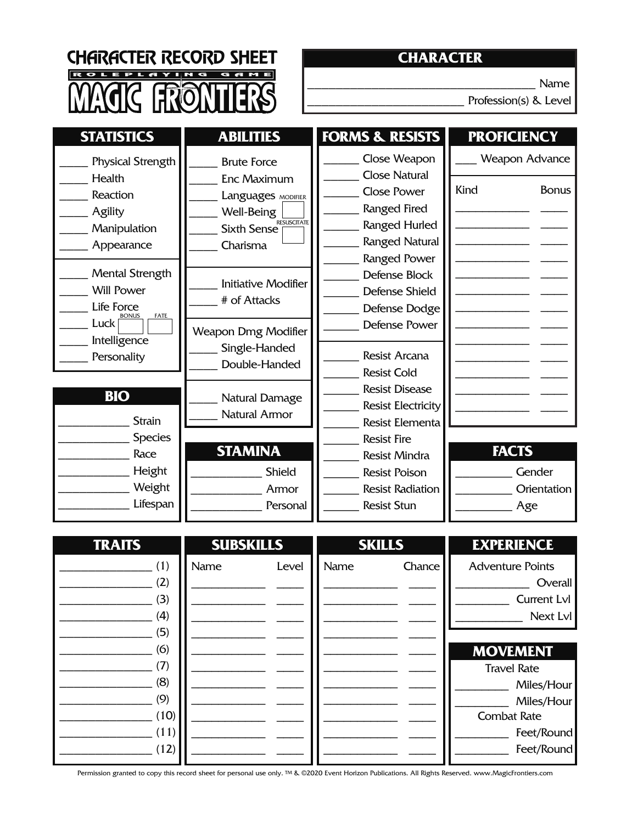CHARACTER RECORD SHEET R O LE CONTRA

### **CHARACTER**

\_\_\_\_\_\_\_\_\_\_\_\_\_\_\_\_\_\_\_\_\_\_\_\_\_\_\_\_\_\_\_\_ Name

Profession(s) & Level

| <b>STATISTICS</b>                                                                                                          | <b>ABILITIES</b>                                                                                                              | <b>FORMS &amp; RESISTS</b>                                                                                                                                                            | <b>PROFICIENCY</b>                                                                                                                                                                                        |
|----------------------------------------------------------------------------------------------------------------------------|-------------------------------------------------------------------------------------------------------------------------------|---------------------------------------------------------------------------------------------------------------------------------------------------------------------------------------|-----------------------------------------------------------------------------------------------------------------------------------------------------------------------------------------------------------|
| <b>Physical Strength</b><br>Health<br><b>Reaction</b><br>Agility<br>Manipulation<br>Appearance                             | <b>Brute Force</b><br><b>Enc Maximum</b><br>Languages MODIFIER<br>Well-Being<br><b>RESUSCITATE</b><br>Sixth Sense<br>Charisma | Close Weapon<br><b>Close Natural</b><br><b>Close Power</b><br>Ranged Fired<br><b>Ranged Hurled</b><br>Ranged Natural<br><b>Ranged Power</b>                                           | Weapon Advance<br>Kind<br><b>Bonus</b>                                                                                                                                                                    |
| <b>Mental Strength</b><br><b>Will Power</b><br>Life Force<br><b>BONUS</b><br>FATE<br>Luck  <br>Intelligence<br>Personality | <b>Initiative Modifier</b><br># of Attacks<br><b>Weapon Dmg Modifier</b><br>Single-Handed<br>Double-Handed                    | Defense Block<br><b>Defense Shield</b><br>Defense Dodge<br><b>Defense Power</b><br>Resist Arcana<br><b>Resist Cold</b>                                                                |                                                                                                                                                                                                           |
| <b>BIO</b><br><b>Strain</b><br><b>Species</b><br>Race<br>Height<br>Weight<br>Lifespan                                      | Natural Damage<br><b>Natural Armor</b><br><b>STAMINA</b><br>Shield<br>Armor<br>Personal                                       | <b>Resist Disease</b><br><b>Resist Electricity</b><br>Resist Elementa<br><b>Resist Fire</b><br>Resist Mindra<br><b>Resist Poison</b><br><b>Resist Radiation</b><br><b>Resist Stun</b> | <b>FACTS</b><br>Gender<br>Orientation<br>Age                                                                                                                                                              |
| <b>TRAITS</b><br>(1)<br>(2)<br>(3)<br>(4)<br>(5)<br>(6)<br>(7)<br>(8)<br>(9)<br>(10)<br>(11)<br>(12)                       | <b>SUBSKILLS</b><br>Name<br>Level                                                                                             | <b>SKILLS</b><br>Name<br>Chance                                                                                                                                                       | <b>EXPERIENCE</b><br><b>Adventure Points</b><br>Overall<br>Current Lvl<br>Next Lvl<br><b>MOVEMENT</b><br><b>Travel Rate</b><br>Miles/Hour<br>Miles/Hour<br><b>Combat Rate</b><br>Feet/Round<br>Feet/Round |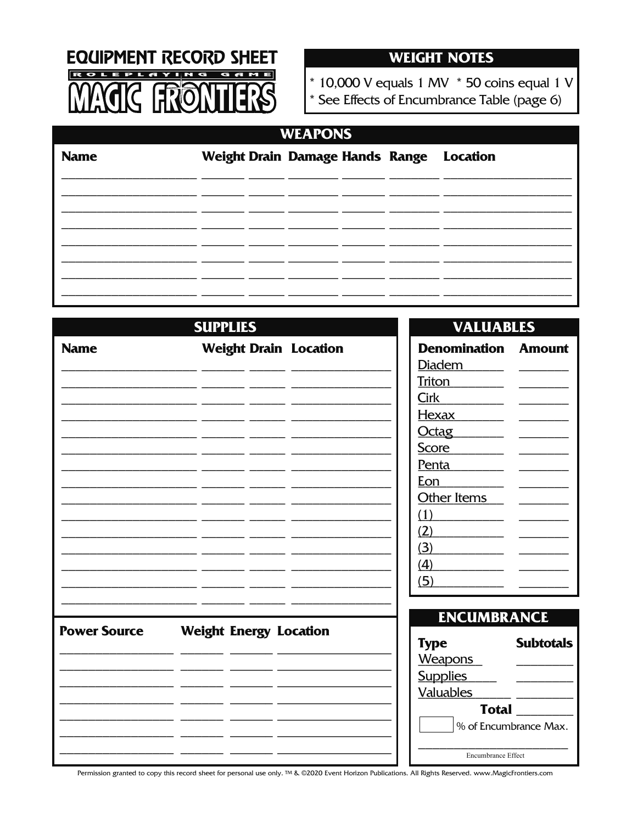

### **WEIGHT NOTES**

\* 10,000 V equals 1 MV  $*$  50 coins equal 1 V

See Effects of Encumbrance Table (page 6)

# **WEAPONS**

| <b>Name</b> |  |  | Weight Drain Damage Hands Range Location |
|-------------|--|--|------------------------------------------|
|             |  |  |                                          |
|             |  |  |                                          |
|             |  |  |                                          |
|             |  |  |                                          |
|             |  |  |                                          |

### **SUPPLIES VALUABLES Weight Drain Location Name Der** Dia Trito Cirk He<sub>2</sub> Oct Sco Penta Eon Other Items  $(1)$  $(2)$  $(3)$  $(4)$  $(5)$ **ENCUMBRANCE Power Source Weight Energy Location Type** Weapons **Supplies Valuables** % of Encumbrance Max. Encumbrance Effect

| nomination Amount        |  |
|--------------------------|--|
| <u>dem _____</u>         |  |
| on                       |  |
| $\overline{\phantom{a}}$ |  |
| <u>xax</u>               |  |
| <u>tag</u>               |  |
| re                       |  |
|                          |  |

**Subtotals** 

**Total**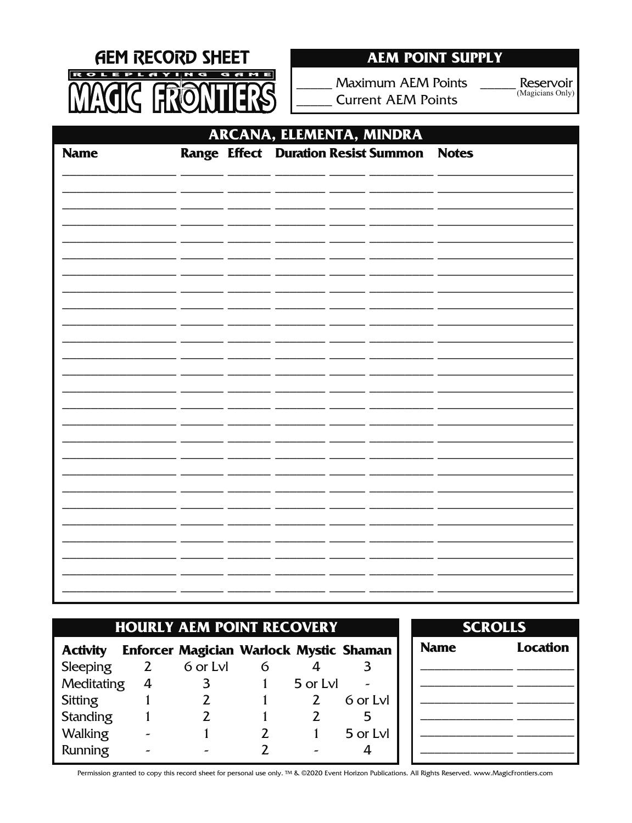

# **AEM POINT SUPPLY**

**Maximum AEM Points Current AEM Points** 

Reservoir (Magicians Only)

| ARCANA, ELEMENTA, MINDRA |  |  |  |  |                                           |  |  |
|--------------------------|--|--|--|--|-------------------------------------------|--|--|
| <b>Name</b>              |  |  |  |  | Range Effect Duration Resist Summon Notes |  |  |
|                          |  |  |  |  |                                           |  |  |
|                          |  |  |  |  |                                           |  |  |
|                          |  |  |  |  |                                           |  |  |
|                          |  |  |  |  |                                           |  |  |
|                          |  |  |  |  |                                           |  |  |
|                          |  |  |  |  |                                           |  |  |
|                          |  |  |  |  |                                           |  |  |
|                          |  |  |  |  |                                           |  |  |
|                          |  |  |  |  |                                           |  |  |
|                          |  |  |  |  |                                           |  |  |
|                          |  |  |  |  |                                           |  |  |
|                          |  |  |  |  |                                           |  |  |
|                          |  |  |  |  |                                           |  |  |
|                          |  |  |  |  |                                           |  |  |
|                          |  |  |  |  |                                           |  |  |

| <b>HOURLY AEM POINT RECOVERY</b> |   |                                         |               |          |          |  |  |  |  |
|----------------------------------|---|-----------------------------------------|---------------|----------|----------|--|--|--|--|
| <b>Activity</b>                  |   | Enforcer Magician Warlock Mystic Shaman |               |          |          |  |  |  |  |
| Sleeping                         | 2 | 6 or Lyl                                | 6             |          |          |  |  |  |  |
| Meditating                       | 4 | 3                                       |               | 5 or Lvl |          |  |  |  |  |
| Sitting                          |   | 2                                       | $\mathbf{1}$  | 2        | 6 or Lyl |  |  |  |  |
| <b>Standing</b>                  |   | 2                                       |               |          | 5        |  |  |  |  |
| <b>Walking</b>                   |   |                                         | $\mathcal{L}$ |          | 5 or Lvl |  |  |  |  |
| Running                          |   |                                         | 2             |          |          |  |  |  |  |

| <b>Location</b> |
|-----------------|
|                 |
|                 |
|                 |
|                 |
|                 |
|                 |
|                 |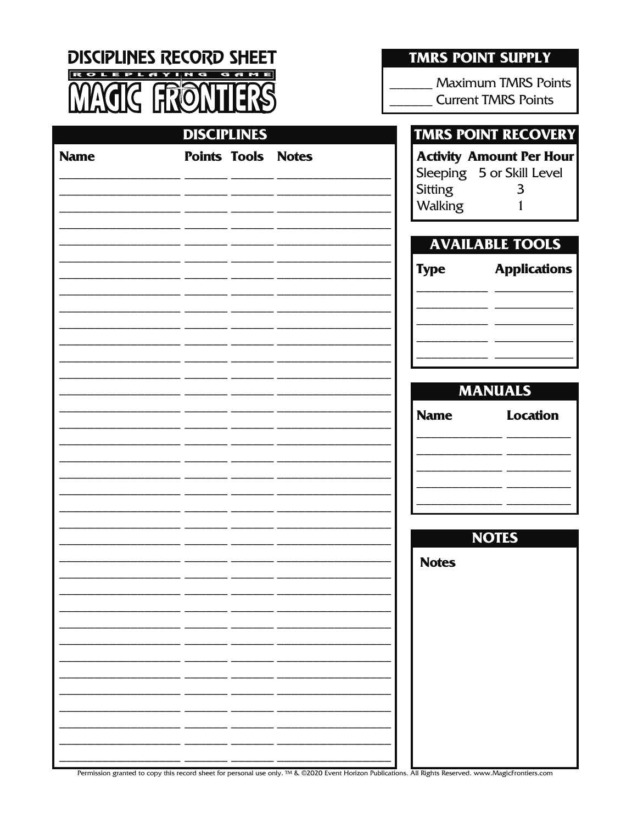**DISCIPLINES RECORD SHEET ROLEPLAYING**  $\overline{\bullet}$   $\overline{\bullet}$ Ħ

**TMRS POINT SUPPLY** 

**Maximum TMRS Points Current TMRS Points** 

|             | <b>DISCIPLINES</b> |                           |                           | <b>TMRS POINT RECOVERY</b>                                        |
|-------------|--------------------|---------------------------|---------------------------|-------------------------------------------------------------------|
| <b>Name</b> |                    | <b>Points Tools Notes</b> | <b>Sitting</b><br>Walking | <b>Activity Amount Per Hour</b><br>Sleeping 5 or Skill Level<br>3 |
|             |                    |                           |                           | <b>AVAILABLE TOOLS</b>                                            |
|             |                    |                           | <b>Type</b>               | <b>Applications</b>                                               |
|             |                    |                           |                           |                                                                   |
|             |                    |                           |                           | <b>MANUALS</b>                                                    |
|             |                    |                           | <b>Name</b>               | <b>Location</b>                                                   |
|             |                    |                           |                           |                                                                   |
|             |                    |                           |                           |                                                                   |
|             |                    |                           | <b>Notes</b>              | <b>NOTES</b>                                                      |
|             |                    |                           |                           |                                                                   |
|             |                    |                           |                           |                                                                   |
|             |                    |                           |                           |                                                                   |
|             |                    |                           |                           |                                                                   |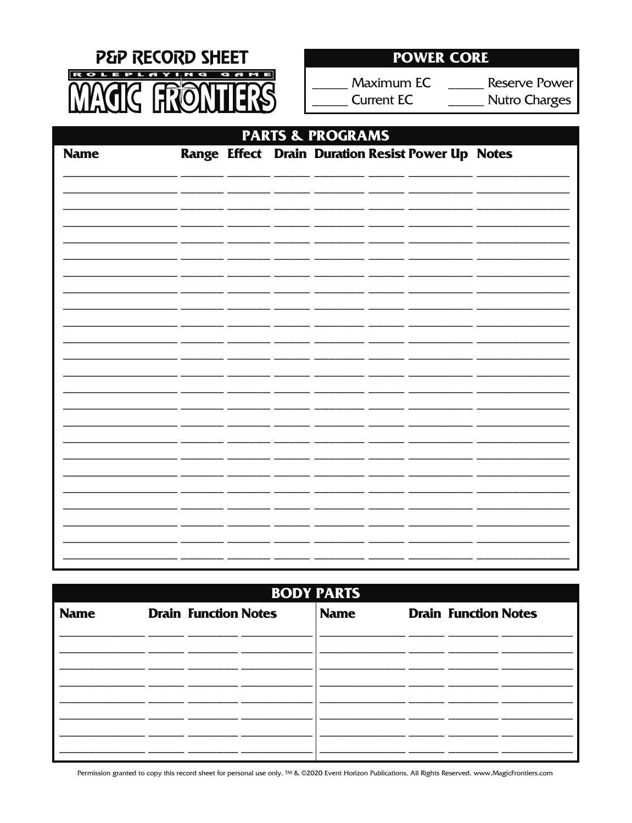

# **POWER CORE**

Maximum EC **Current EC** 

**Reserve Power Nutro Charges** 

| <b>PARTS &amp; PROGRAMS</b> |  |  |  |  |  |                                                   |  |
|-----------------------------|--|--|--|--|--|---------------------------------------------------|--|
| <b>Name</b>                 |  |  |  |  |  | Range Effect Drain Duration Resist Power Up Notes |  |
|                             |  |  |  |  |  |                                                   |  |
|                             |  |  |  |  |  |                                                   |  |
|                             |  |  |  |  |  |                                                   |  |
|                             |  |  |  |  |  |                                                   |  |
|                             |  |  |  |  |  |                                                   |  |
|                             |  |  |  |  |  |                                                   |  |
|                             |  |  |  |  |  |                                                   |  |
|                             |  |  |  |  |  |                                                   |  |
|                             |  |  |  |  |  |                                                   |  |
|                             |  |  |  |  |  |                                                   |  |
|                             |  |  |  |  |  |                                                   |  |
|                             |  |  |  |  |  |                                                   |  |
|                             |  |  |  |  |  |                                                   |  |

| <b>BODY PARTS</b> |  |  |  |                                            |  |  |                             |  |  |
|-------------------|--|--|--|--------------------------------------------|--|--|-----------------------------|--|--|
| <b>Name</b>       |  |  |  | <b>Name</b><br><b>Drain Function Notes</b> |  |  | <b>Drain Function Notes</b> |  |  |
|                   |  |  |  |                                            |  |  |                             |  |  |
|                   |  |  |  |                                            |  |  |                             |  |  |
|                   |  |  |  |                                            |  |  |                             |  |  |
|                   |  |  |  |                                            |  |  |                             |  |  |
|                   |  |  |  |                                            |  |  |                             |  |  |
|                   |  |  |  |                                            |  |  |                             |  |  |
|                   |  |  |  |                                            |  |  |                             |  |  |